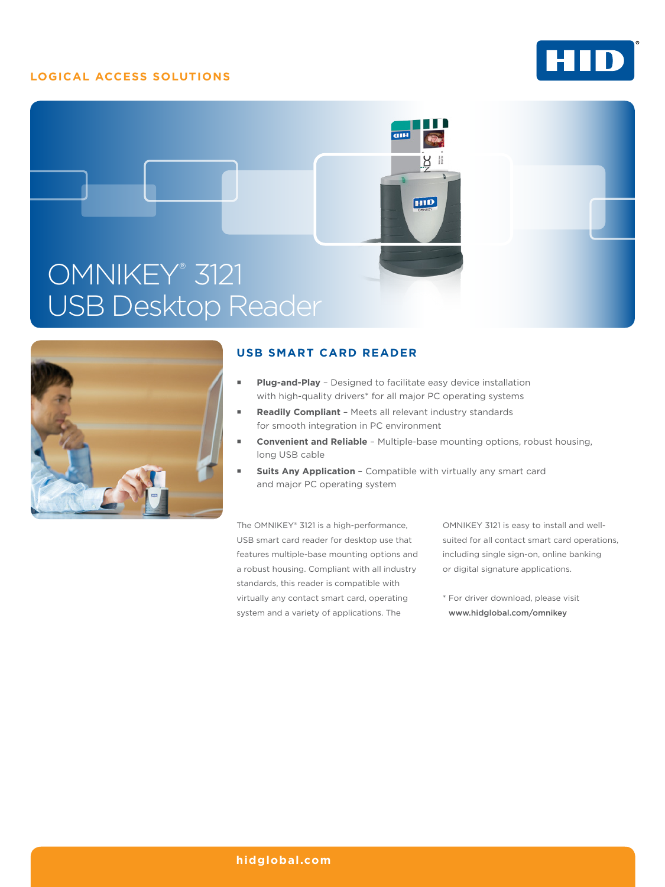# **LOGICAL ACCESS SOLUTIONS**







## **USB SMART CARD READER**

- **Plug-and-Play** Designed to facilitate easy device installation with high-quality drivers<sup>\*</sup> for all major PC operating systems
- **Readily Compliant** Meets all relevant industry standards for smooth integration in PC environment
- **Convenient and Reliable** Multiple-base mounting options, robust housing, long USB cable
- **Suits Any Application** Compatible with virtually any smart card and major PC operating system

The OMNIKEY® 3121 is a high-performance, USB smart card reader for desktop use that features multiple-base mounting options and a robust housing. Compliant with all industry standards, this reader is compatible with virtually any contact smart card, operating system and a variety of applications. The

OMNIKEY 3121 is easy to install and wellsuited for all contact smart card operations, including single sign-on, online banking or digital signature applications.

\* For driver download, please visit www.hidglobal.com/omnikey